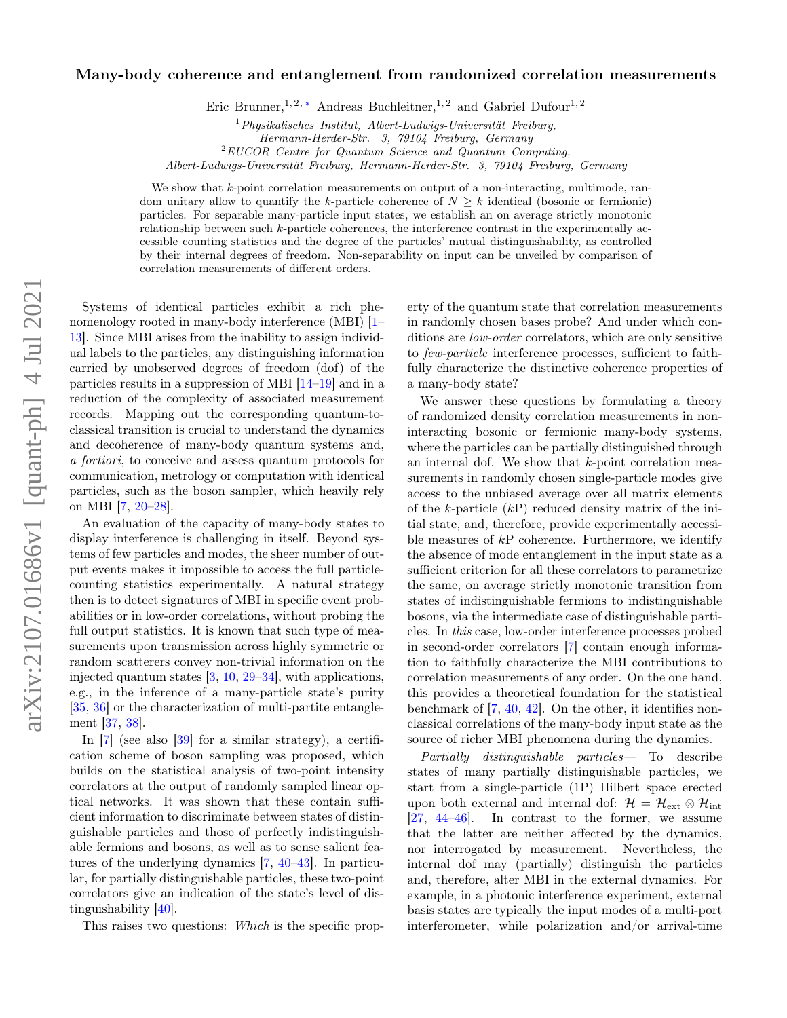# arXiv:2107.01686v1 [quant-ph] 4 Jul 2021 arXiv:2107.01686v1 [quant-ph] 4 Jul 2021

# Many-body coherence and entanglement from randomized correlation measurements

Eric Brunner,<sup>1, 2, [∗](#page-4-0)</sup> Andreas Buchleitner,<sup>1, 2</sup> and Gabriel Dufour<sup>1, 2</sup>

 $2$ EUCOR Centre for Quantum Science and Quantum Computing,

Albert-Ludwigs-Universität Freiburg, Hermann-Herder-Str. 3, 79104 Freiburg, Germany

We show that k-point correlation measurements on output of a non-interacting, multimode, random unitary allow to quantify the k-particle coherence of  $N > k$  identical (bosonic or fermionic) particles. For separable many-particle input states, we establish an on average strictly monotonic relationship between such  $k$ -particle coherences, the interference contrast in the experimentally accessible counting statistics and the degree of the particles' mutual distinguishability, as controlled by their internal degrees of freedom. Non-separability on input can be unveiled by comparison of correlation measurements of different orders.

Systems of identical particles exhibit a rich phenomenology rooted in many-body interference (MBI) [\[1–](#page-4-1) [13\]](#page-4-2). Since MBI arises from the inability to assign individual labels to the particles, any distinguishing information carried by unobserved degrees of freedom (dof) of the particles results in a suppression of MBI [\[14](#page-4-3)[–19\]](#page-4-4) and in a reduction of the complexity of associated measurement records. Mapping out the corresponding quantum-toclassical transition is crucial to understand the dynamics and decoherence of many-body quantum systems and, a fortiori, to conceive and assess quantum protocols for communication, metrology or computation with identical particles, such as the boson sampler, which heavily rely on MBI [\[7,](#page-4-5) [20–](#page-4-6)[28\]](#page-4-7).

An evaluation of the capacity of many-body states to display interference is challenging in itself. Beyond systems of few particles and modes, the sheer number of output events makes it impossible to access the full particlecounting statistics experimentally. A natural strategy then is to detect signatures of MBI in specific event probabilities or in low-order correlations, without probing the full output statistics. It is known that such type of measurements upon transmission across highly symmetric or random scatterers convey non-trivial information on the injected quantum states [\[3,](#page-4-8) [10,](#page-4-9) [29–](#page-4-10)[34\]](#page-4-11), with applications, e.g., in the inference of a many-particle state's purity [\[35,](#page-4-12) [36\]](#page-4-13) or the characterization of multi-partite entanglement [\[37,](#page-4-14) [38\]](#page-4-15).

In [\[7\]](#page-4-5) (see also [\[39\]](#page-4-16) for a similar strategy), a certification scheme of boson sampling was proposed, which builds on the statistical analysis of two-point intensity correlators at the output of randomly sampled linear optical networks. It was shown that these contain sufficient information to discriminate between states of distinguishable particles and those of perfectly indistinguishable fermions and bosons, as well as to sense salient features of the underlying dynamics [\[7,](#page-4-5) [40](#page-5-0)[–43\]](#page-5-1). In particular, for partially distinguishable particles, these two-point correlators give an indication of the state's level of distinguishability [\[40\]](#page-5-0).

This raises two questions: Which is the specific prop-

erty of the quantum state that correlation measurements in randomly chosen bases probe? And under which conditions are low-order correlators, which are only sensitive to few-particle interference processes, sufficient to faithfully characterize the distinctive coherence properties of a many-body state?

We answer these questions by formulating a theory of randomized density correlation measurements in noninteracting bosonic or fermionic many-body systems, where the particles can be partially distinguished through an internal dof. We show that k-point correlation measurements in randomly chosen single-particle modes give access to the unbiased average over all matrix elements of the k-particle  $(kP)$  reduced density matrix of the initial state, and, therefore, provide experimentally accessible measures of  $kP$  coherence. Furthermore, we identify the absence of mode entanglement in the input state as a sufficient criterion for all these correlators to parametrize the same, on average strictly monotonic transition from states of indistinguishable fermions to indistinguishable bosons, via the intermediate case of distinguishable particles. In this case, low-order interference processes probed in second-order correlators [\[7\]](#page-4-5) contain enough information to faithfully characterize the MBI contributions to correlation measurements of any order. On the one hand, this provides a theoretical foundation for the statistical benchmark of [\[7,](#page-4-5) [40,](#page-5-0) [42\]](#page-5-2). On the other, it identifies nonclassical correlations of the many-body input state as the source of richer MBI phenomena during the dynamics.

Partially distinguishable particles— To describe states of many partially distinguishable particles, we start from a single-particle (1P) Hilbert space erected upon both external and internal dof:  $\mathcal{H} = \mathcal{H}_{ext} \otimes \mathcal{H}_{int}$ [\[27,](#page-4-17) [44–](#page-5-3)[46\]](#page-5-4). In contrast to the former, we assume that the latter are neither affected by the dynamics, nor interrogated by measurement. Nevertheless, the internal dof may (partially) distinguish the particles and, therefore, alter MBI in the external dynamics. For example, in a photonic interference experiment, external basis states are typically the input modes of a multi-port interferometer, while polarization and/or arrival-time

 $1$ Physikalisches Institut, Albert-Ludwigs-Universität Freiburg,

Hermann-Herder-Str. 3, 79104 Freiburg, Germany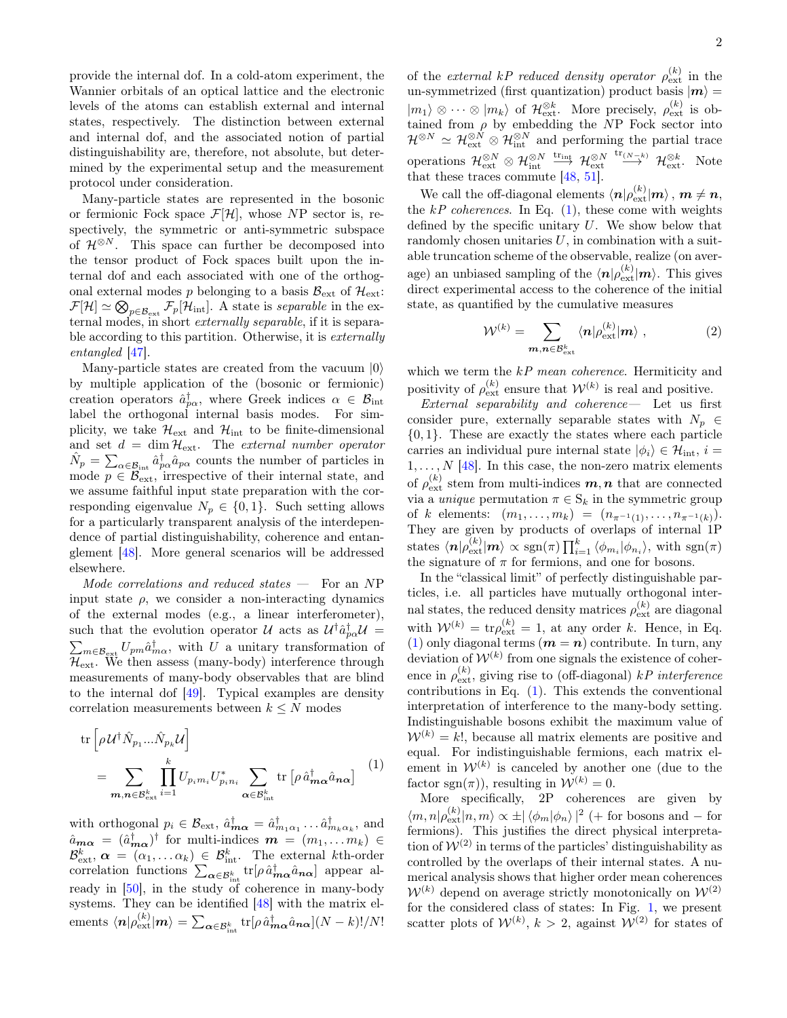provide the internal dof. In a cold-atom experiment, the Wannier orbitals of an optical lattice and the electronic levels of the atoms can establish external and internal states, respectively. The distinction between external and internal dof, and the associated notion of partial distinguishability are, therefore, not absolute, but determined by the experimental setup and the measurement protocol under consideration.

Many-particle states are represented in the bosonic or fermionic Fock space  $\mathcal{F}[\mathcal{H}]$ , whose NP sector is, respectively, the symmetric or anti-symmetric subspace of  $\mathcal{H}^{\otimes N}$ . This space can further be decomposed into the tensor product of Fock spaces built upon the internal dof and each associated with one of the orthogonal external modes p belonging to a basis  $\mathcal{B}_{ext}$  of  $\mathcal{H}_{ext}$ :  $\mathcal{F}[\mathcal{H}] \simeq \bigotimes_{p \in \mathcal{B}_{\rm ext}} \mathcal{F}_p[\mathcal{H}_{\rm int}]$ . A state is *separable* in the external modes, in short externally separable, if it is separable according to this partition. Otherwise, it is externally entangled [\[47\]](#page-5-5).

Many-particle states are created from the vacuum  $|0\rangle$ by multiple application of the (bosonic or fermionic) creation operators  $\hat{a}^{\dagger}_{p\alpha}$ , where Greek indices  $\alpha \in \mathcal{B}_{int}$ label the orthogonal internal basis modes. For simplicity, we take  $\mathcal{H}_{\mathrm{ext}}$  and  $\mathcal{H}_{\mathrm{int}}$  to be finite-dimensional and set  $d = \dim \mathcal{H}_{ext}$ . The external number operator  $\hat{N}_p = \sum_{\alpha \in \mathcal{B}_{int}} \hat{a}_{p\alpha}^{\dagger} \hat{a}_{p\alpha}$  counts the number of particles in mode  $p \in \mathcal{B}_{ext}$ , irrespective of their internal state, and we assume faithful input state preparation with the corresponding eigenvalue  $N_p \in \{0, 1\}$ . Such setting allows for a particularly transparent analysis of the interdependence of partial distinguishability, coherence and entanglement [\[48\]](#page-5-6). More general scenarios will be addressed elsewhere.

Mode correlations and reduced states  $-$  For an NP input state  $\rho$ , we consider a non-interacting dynamics of the external modes (e.g., a linear interferometer), such that the evolution operator  $\mathcal U$  acts as  $\mathcal{U}^\dagger \hat a_p^\dagger$ such that the evolution operator  $\mathcal{U}$  acts as  $\mathcal{U}^{\dagger} \hat{a}^{\dagger}_{p\alpha} \mathcal{U} = \sum_{m \in \mathcal{B}_{ext}} U_{pm} \hat{a}^{\dagger}_{m\alpha}$ , with  $U$  a unitary transformation of  $\mathcal{H}_{\text{ext}}$ . We then assess (many-body) interference through measurements of many-body observables that are blind to the internal dof [\[49\]](#page-5-7). Typical examples are density correlation measurements between  $k \leq N$  modes

<span id="page-1-0"></span>
$$
\operatorname{tr}\left[\rho \mathcal{U}^{\dagger} \hat{N}_{p_1} \dots \hat{N}_{p_k} \mathcal{U}\right]
$$
\n
$$
= \sum_{\substack{\mathbf{m}, \mathbf{n} \in \mathcal{B}_{\text{ext}}^k}} \prod_{i=1}^k U_{p_i m_i} U_{p_i n_i}^* \sum_{\alpha \in \mathcal{B}_{\text{int}}^k} \operatorname{tr}\left[\rho \hat{a}_{\mathbf{m}\alpha}^{\dagger} \hat{a}_{\mathbf{n}\alpha}\right] \tag{1}
$$

with orthogonal  $p_i \in \mathcal{B}_{ext}$ ,  $\hat{a}^{\dagger}_{m\alpha} = \hat{a}^{\dagger}_{m_1\alpha_1} \dots \hat{a}^{\dagger}_{m_k\alpha_k}$ , and  $\hat{a}_{m\alpha} = (\hat{a}^{\dagger}_{m\alpha})^{\dagger}$  for multi-indices  $m = (m_1, \ldots, m_k) \in$  $\mathcal{B}_{\text{ext}}^k$ ,  $\alpha = (\alpha_1, \dots \alpha_k) \in \mathcal{B}_{\text{int}}^k$ . The external kth-order correlation functions  $\sum_{\alpha \in \mathcal{B}_{int}^k} tr[\rho \hat{a}^{\dagger}_{m\alpha} \hat{a}_{n\alpha}]$  appear already in [\[50\]](#page-5-8), in the study of coherence in many-body systems. They can be identified [\[48\]](#page-5-6) with the matrix elements  $\langle \bm{n} | \rho_\text{ext}^{(k)} | \bm{m} \rangle = \sum_{\bm{\alpha} \in \mathcal{B}_{\text{int}}^k} \text{tr}[\rho \, \hat{a}^\dagger_{\bm{m} \bm{\alpha}} \hat{a}_{\bm{n} \bm{\alpha}}](N-k)! / N!$ 

of the *external kP reduced density operator*  $\rho_{ext}^{(k)}$  in the un-symmetrized (first quantization) product basis  $|m\rangle =$  $|m_1\rangle \otimes \cdots \otimes |m_k\rangle$  of  $\mathcal{H}_{ext}^{\otimes k}$ . More precisely,  $\rho_{ext}^{(k)}$  is obtained from  $\rho$  by embedding the NP Fock sector into  $\mathcal{H}^{\otimes N} \simeq \mathcal{H}_{\text{ext}}^{\otimes N} \otimes \mathcal{H}_{\text{int}}^{\otimes N}$  and performing the partial trace operations  $\mathcal{H}^{\otimes N}_{\mathrm{ext}}\otimes \mathcal{H}^{\otimes N}_{\mathrm{int}}\ \stackrel{\mathrm{tr}_{\mathrm{int}}}{\longrightarrow}\ \mathcal{H}^{\otimes N}_{\mathrm{ext}}$ <sup>tr</sup><sup>(N-k)</sup>  $\mathcal{H}_{ext}^{\otimes k}$ . Note that these traces commute [\[48,](#page-5-6) [51\]](#page-5-9).

We call the off-diagonal elements  $\langle \boldsymbol{n} | \rho^{(k)}_\text{ext}| \boldsymbol{m} \rangle$  ,  $\boldsymbol{m} \neq \boldsymbol{n}$ , the  $kP$  coherences. In Eq. [\(1\)](#page-1-0), these come with weights defined by the specific unitary  $U$ . We show below that randomly chosen unitaries  $U$ , in combination with a suitable truncation scheme of the observable, realize (on average) an unbiased sampling of the  $\langle n|\rho_{\text{ext}}^{(k)}|m\rangle$ . This gives direct experimental access to the coherence of the initial state, as quantified by the cumulative measures

<span id="page-1-1"></span>
$$
\mathcal{W}^{(k)} = \sum_{\boldsymbol{m}, \boldsymbol{n} \in \mathcal{B}_{\text{ext}}^k} \langle \boldsymbol{n} | \rho_{\text{ext}}^{(k)} | \boldsymbol{m} \rangle , \qquad (2)
$$

which we term the kP mean coherence. Hermiticity and positivity of  $\rho_{\text{ext}}^{(k)}$  ensure that  $\mathcal{W}^{(k)}$  is real and positive.

External separability and coherence— Let us first consider pure, externally separable states with  $N_p \in$ {0, 1}. These are exactly the states where each particle carries an individual pure internal state  $|\phi_i\rangle \in \mathcal{H}_{int}$ ,  $i =$  $1, \ldots, N$  [\[48\]](#page-5-6). In this case, the non-zero matrix elements of  $\rho_{\text{ext}}^{(k)}$  stem from multi-indices  $m, n$  that are connected via a *unique* permutation  $\pi \in S_k$  in the symmetric group of k elements:  $(m_1, \ldots, m_k) = (n_{\pi^{-1}(1)}, \ldots, n_{\pi^{-1}(k)})$ . They are given by products of overlaps of internal 1P states  $\langle n|\rho_{\text{ext}}^{(k)}|m\rangle \propto \text{sgn}(\pi)\prod_{i=1}^k \langle \phi_{m_i}|\phi_{n_i}\rangle$ , with  $\text{sgn}(\pi)$ the signature of  $\pi$  for fermions, and one for bosons.

In the "classical limit" of perfectly distinguishable particles, i.e. all particles have mutually orthogonal internal states, the reduced density matrices  $\rho_{\text{ext}}^{(k)}$  are diagonal with  $W^{(k)} = \text{tr}\rho_{\text{ext}}^{(k)} = 1$ , at any order k. Hence, in Eq. [\(1\)](#page-1-0) only diagonal terms  $(m = n)$  contribute. In turn, any deviation of  $W^{(k)}$  from one signals the existence of coherence in  $\rho_{\text{ext}}^{(k)}$ , giving rise to (off-diagonal)  $kP$  interference contributions in Eq. [\(1\)](#page-1-0). This extends the conventional interpretation of interference to the many-body setting. Indistinguishable bosons exhibit the maximum value of  $W^{(k)} = k!$ , because all matrix elements are positive and equal. For indistinguishable fermions, each matrix element in  $\mathcal{W}^{(k)}$  is canceled by another one (due to the factor sgn( $\pi$ )), resulting in  $\mathcal{W}^{(k)} = 0$ .

More specifically, 2P coherences are given by  $\langle m, n | \rho_{\text{ext}}^{(k)} | n, m \rangle \propto \pm |\langle \phi_m | \phi_n \rangle|^2$  (+ for bosons and – for fermions). This justifies the direct physical interpretation of  $W^{(2)}$  in terms of the particles' distinguishability as controlled by the overlaps of their internal states. A numerical analysis shows that higher order mean coherences  $W^{(k)}$  depend on average strictly monotonically on  $W^{(2)}$ for the considered class of states: In Fig. [1,](#page-2-0) we present scatter plots of  $W^{(k)}$ ,  $k > 2$ , against  $W^{(2)}$  for states of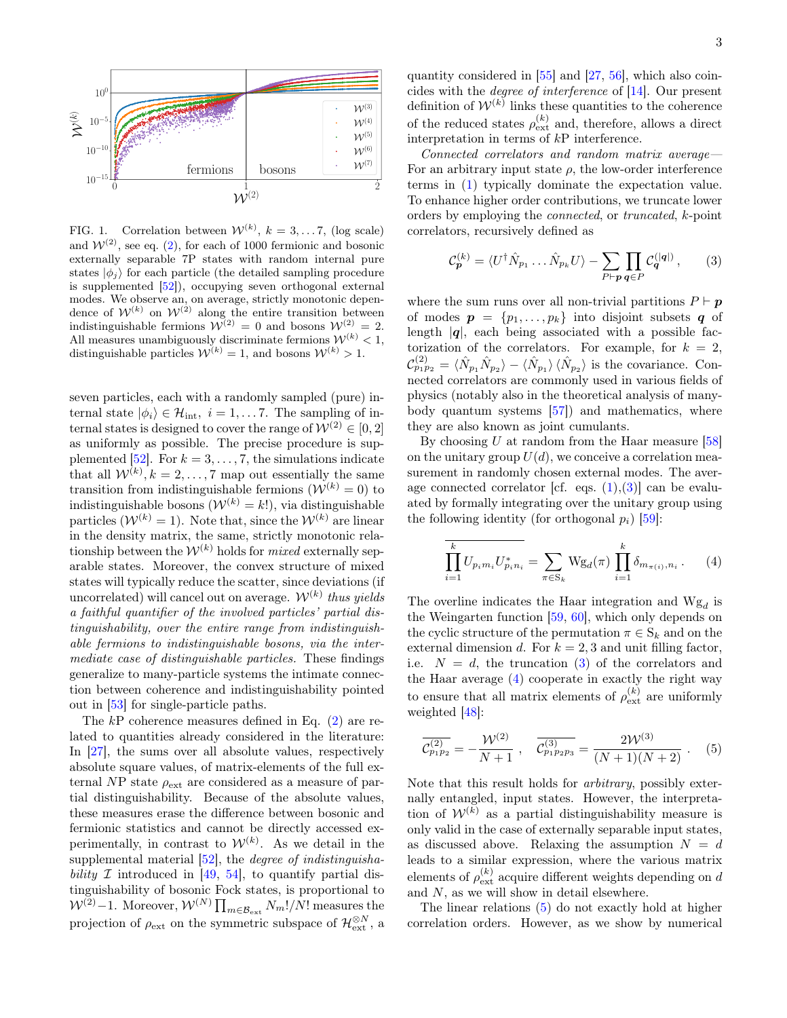

<span id="page-2-0"></span>FIG. 1. Correlation between  $\mathcal{W}^{(k)}$ ,  $k = 3, \ldots 7$ , (log scale) and  $W^{(2)}$  $W^{(2)}$  $W^{(2)}$ , see eq. (2), for each of 1000 fermionic and bosonic externally separable 7P states with random internal pure states  $|\phi_j\rangle$  for each particle (the detailed sampling procedure is supplemented [\[52\]](#page-5-10)), occupying seven orthogonal external modes. We observe an, on average, strictly monotonic dependence of  $W^{(k)}$  on  $W^{(2)}$  along the entire transition between indistinguishable fermions  $\mathcal{W}^{(2)} = 0$  and bosons  $\mathcal{W}^{(2)} = 2$ . All measures unambiguously discriminate fermions  $\mathcal{W}^{(k)} < 1$ , distinguishable particles  $W^{(k)} = 1$ , and bosons  $W^{(k)} > 1$ .

seven particles, each with a randomly sampled (pure) internal state  $|\phi_i\rangle \in \mathcal{H}_{int}$ ,  $i = 1, \ldots 7$ . The sampling of internal states is designed to cover the range of  $\mathcal{W}^{(2)} \in [0, 2]$ as uniformly as possible. The precise procedure is sup-plemented [\[52\]](#page-5-10). For  $k = 3, \ldots, 7$ , the simulations indicate that all  $W^{(k)}, k = 2, \ldots, 7$  map out essentially the same transition from indistinguishable fermions  $(\mathcal{W}^{(k)} = 0)$  to indistinguishable bosons  $(\mathcal{W}^{(k)} = k!)$ , via distinguishable particles  $(\mathcal{W}^{(k)} = 1)$ . Note that, since the  $\mathcal{W}^{(k)}$  are linear in the density matrix, the same, strictly monotonic relationship between the  $\mathcal{W}^{(k)}$  holds for *mixed* externally separable states. Moreover, the convex structure of mixed states will typically reduce the scatter, since deviations (if uncorrelated) will cancel out on average.  $\mathcal{W}^{(k)}$  thus yields a faithful quantifier of the involved particles' partial distinguishability, over the entire range from indistinguishable fermions to indistinguishable bosons, via the intermediate case of distinguishable particles. These findings generalize to many-particle systems the intimate connection between coherence and indistinguishability pointed out in [\[53\]](#page-5-11) for single-particle paths.

The  $k$ P coherence measures defined in Eq.  $(2)$  are related to quantities already considered in the literature: In [\[27\]](#page-4-17), the sums over all absolute values, respectively absolute square values, of matrix-elements of the full external NP state  $\rho_{\text{ext}}$  are considered as a measure of partial distinguishability. Because of the absolute values, these measures erase the difference between bosonic and fermionic statistics and cannot be directly accessed experimentally, in contrast to  $\mathcal{W}^{(k)}$ . As we detail in the supplemental material [\[52\]](#page-5-10), the *degree of indistinguisha*bility  $\mathcal I$  introduced in [\[49,](#page-5-7) [54\]](#page-5-12), to quantify partial distinguishability of bosonic Fock states, is proportional to  $W^{(2)}-1$ . Moreover,  $W^{(N)}\prod_{m\in\mathcal{B}_{\text{ext}}}N_m!/N!$  measures the projection of  $\rho_{\text{ext}}$  on the symmetric subspace of  $\mathcal{H}_{\text{ext}}^{\otimes N}$ , a

quantity considered in [\[55\]](#page-5-13) and [\[27,](#page-4-17) [56\]](#page-5-14), which also coincides with the degree of interference of [\[14\]](#page-4-3). Our present definition of  $W^{(k)}$  links these quantities to the coherence of the reduced states  $\rho_{\text{ext}}^{(k)}$  and, therefore, allows a direct interpretation in terms of kP interference.

Connected correlators and random matrix average— For an arbitrary input state  $\rho$ , the low-order interference terms in [\(1\)](#page-1-0) typically dominate the expectation value. To enhance higher order contributions, we truncate lower orders by employing the connected, or truncated, k-point correlators, recursively defined as

<span id="page-2-1"></span>
$$
\mathcal{C}_{\mathbf{p}}^{(k)} = \langle U^{\dagger} \hat{N}_{p_1} \dots \hat{N}_{p_k} U \rangle - \sum_{P \vdash \mathbf{p}} \prod_{\mathbf{q} \in P} \mathcal{C}_{\mathbf{q}}^{(|\mathbf{q}|)},\qquad(3)
$$

where the sum runs over all non-trivial partitions  $P \vdash p$ of modes  $p = \{p_1, \ldots, p_k\}$  into disjoint subsets q of length  $|q|$ , each being associated with a possible factorization of the correlators. For example, for  $k = 2$ ,  $\mathcal{C}_{p_1p_2}^{(2)} = \langle \hat{N}_{p_1} \hat{N}_{p_2} \rangle - \langle \hat{N}_{p_1} \rangle \langle \hat{N}_{p_2} \rangle$  is the covariance. Connected correlators are commonly used in various fields of physics (notably also in the theoretical analysis of manybody quantum systems [\[57\]](#page-5-15)) and mathematics, where they are also known as joint cumulants.

By choosing U at random from the Haar measure  $[58]$ on the unitary group  $U(d)$ , we conceive a correlation measurement in randomly chosen external modes. The average connected correlator [cf. eqs.  $(1),(3)$  $(1),(3)$  $(1),(3)$ ] can be evaluated by formally integrating over the unitary group using the following identity (for orthogonal  $p_i$ ) [\[59\]](#page-5-17):

<span id="page-2-2"></span>
$$
\overline{\prod_{i=1}^{k} U_{p_i m_i} U_{p_i n_i}^*} = \sum_{\pi \in S_k} W g_d(\pi) \prod_{i=1}^{k} \delta_{m_{\pi(i)}, n_i}.
$$
 (4)

The overline indicates the Haar integration and  $Wg_d$  is the Weingarten function [\[59,](#page-5-17) [60\]](#page-5-18), which only depends on the cyclic structure of the permutation  $\pi \in S_k$  and on the external dimension d. For  $k = 2, 3$  and unit filling factor, i.e.  $N = d$ , the truncation [\(3\)](#page-2-1) of the correlators and the Haar average [\(4\)](#page-2-2) cooperate in exactly the right way to ensure that all matrix elements of  $\rho_{\text{ext}}^{(k)}$  are uniformly weighted [\[48\]](#page-5-6):

<span id="page-2-3"></span>
$$
\overline{\mathcal{C}_{p_1p_2}^{(2)}} = -\frac{\mathcal{W}^{(2)}}{N+1}, \quad \overline{\mathcal{C}_{p_1p_2p_3}^{(3)}} = \frac{2\mathcal{W}^{(3)}}{(N+1)(N+2)}.
$$
 (5)

Note that this result holds for arbitrary, possibly externally entangled, input states. However, the interpretation of  $W^{(k)}$  as a partial distinguishability measure is only valid in the case of externally separable input states, as discussed above. Relaxing the assumption  $N = d$ leads to a similar expression, where the various matrix elements of  $\rho_{\text{ext}}^{(k)}$  acquire different weights depending on  $d$ and N, as we will show in detail elsewhere.

The linear relations [\(5\)](#page-2-3) do not exactly hold at higher correlation orders. However, as we show by numerical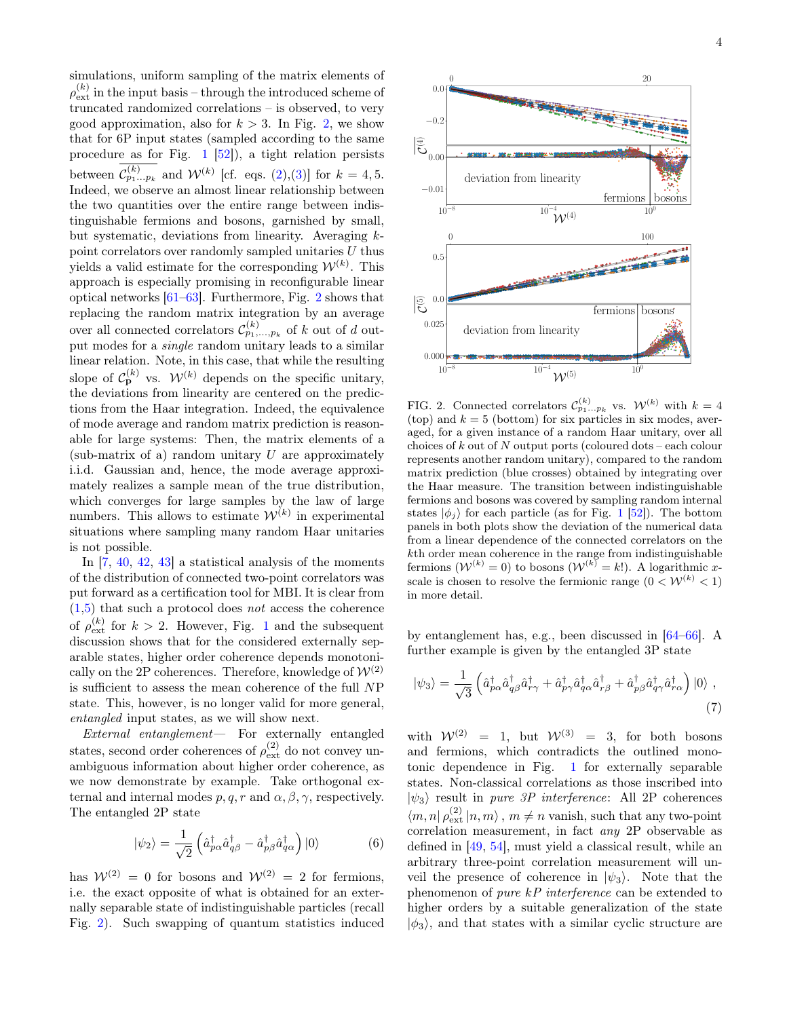simulations, uniform sampling of the matrix elements of  $\rho^{(k)}_\text{ext}$  in the input basis – through the introduced scheme of truncated randomized correlations – is observed, to very good approximation, also for  $k > 3$ . In Fig. [2,](#page-3-0) we show that for 6P input states (sampled according to the same procedure as for Fig. [1](#page-2-0) [\[52\]](#page-5-10)), a tight relation persists between  $\mathcal{C}_{p_1...p_k}^{(k)}$  and  $\mathcal{W}^{(k)}$  [cf. eqs. [\(2\)](#page-1-1),[\(3\)](#page-2-1)] for  $k = 4, 5$ . Indeed, we observe an almost linear relationship between the two quantities over the entire range between indistinguishable fermions and bosons, garnished by small, but systematic, deviations from linearity. Averaging kpoint correlators over randomly sampled unitaries  $U$  thus yields a valid estimate for the corresponding  $\mathcal{W}^{(k)}$ . This approach is especially promising in reconfigurable linear optical networks [\[61–](#page-5-19)[63\]](#page-5-20). Furthermore, Fig. [2](#page-3-0) shows that replacing the random matrix integration by an average over all connected correlators  $\mathcal{C}_{p_1,\ldots,p_k}^{(k)}$  of k out of d output modes for a single random unitary leads to a similar linear relation. Note, in this case, that while the resulting slope of  $C_{\mathbf{p}}^{(k)}$  vs.  $\mathcal{W}^{(k)}$  depends on the specific unitary, the deviations from linearity are centered on the predictions from the Haar integration. Indeed, the equivalence of mode average and random matrix prediction is reasonable for large systems: Then, the matrix elements of a (sub-matrix of a) random unitary  $U$  are approximately i.i.d. Gaussian and, hence, the mode average approximately realizes a sample mean of the true distribution, which converges for large samples by the law of large numbers. This allows to estimate  $\mathcal{W}^{(k)}$  in experimental situations where sampling many random Haar unitaries is not possible.

In  $[7, 40, 42, 43]$  $[7, 40, 42, 43]$  $[7, 40, 42, 43]$  $[7, 40, 42, 43]$  $[7, 40, 42, 43]$  $[7, 40, 42, 43]$  $[7, 40, 42, 43]$  a statistical analysis of the moments of the distribution of connected two-point correlators was put forward as a certification tool for MBI. It is clear from  $(1,5)$  $(1,5)$  that such a protocol does *not* access the coherence of  $\rho_{\text{ext}}^{(k)}$  for  $k > 2$ . However, Fig. [1](#page-2-0) and the subsequent discussion shows that for the considered externally separable states, higher order coherence depends monotonically on the 2P coherences. Therefore, knowledge of  $\mathcal{W}^{(2)}$ is sufficient to assess the mean coherence of the full NP state. This, however, is no longer valid for more general, entangled input states, as we will show next.

External entanglement— For externally entangled states, second order coherences of  $\rho_{\text{ext}}^{(2)}$  do not convey unambiguous information about higher order coherence, as we now demonstrate by example. Take orthogonal external and internal modes  $p, q, r$  and  $\alpha, \beta, \gamma$ , respectively. The entangled 2P state

$$
|\psi_2\rangle = \frac{1}{\sqrt{2}} \left( \hat{a}^{\dagger}_{p\alpha} \hat{a}^{\dagger}_{q\beta} - \hat{a}^{\dagger}_{p\beta} \hat{a}^{\dagger}_{q\alpha} \right) |0\rangle \tag{6}
$$

has  $\mathcal{W}^{(2)} = 0$  for bosons and  $\mathcal{W}^{(2)} = 2$  for fermions, i.e. the exact opposite of what is obtained for an externally separable state of indistinguishable particles (recall Fig. [2\)](#page-3-0). Such swapping of quantum statistics induced



<span id="page-3-0"></span>FIG. 2. Connected correlators  $\mathcal{C}_{p_1...p_k}^{(k)}$  vs.  $\mathcal{W}^{(k)}$  with  $k=4$ (top) and  $k = 5$  (bottom) for six particles in six modes, averaged, for a given instance of a random Haar unitary, over all choices of  $k$  out of  $N$  output ports (coloured dots – each colour represents another random unitary), compared to the random matrix prediction (blue crosses) obtained by integrating over the Haar measure. The transition between indistinguishable fermions and bosons was covered by sampling random internal states  $|\phi_i\rangle$  for each particle (as for Fig. [1](#page-2-0) [\[52\]](#page-5-10)). The bottom panels in both plots show the deviation of the numerical data from a linear dependence of the connected correlators on the kth order mean coherence in the range from indistinguishable fermions  $(W^{(k)} = 0)$  to bosons  $(W^{(k)} = k!)$ . A logarithmic xscale is chosen to resolve the fermionic range  $(0 < \mathcal{W}^{(k)} < 1)$ in more detail.

by entanglement has, e.g., been discussed in [\[64](#page-5-21)[–66\]](#page-5-22). A further example is given by the entangled 3P state

<span id="page-3-1"></span>
$$
|\psi_3\rangle = \frac{1}{\sqrt{3}} \left( \hat{a}^{\dagger}_{p\alpha} \hat{a}^{\dagger}_{q\beta} \hat{a}^{\dagger}_{r\gamma} + \hat{a}^{\dagger}_{p\gamma} \hat{a}^{\dagger}_{q\alpha} \hat{a}^{\dagger}_{r\beta} + \hat{a}^{\dagger}_{p\beta} \hat{a}^{\dagger}_{q\gamma} \hat{a}^{\dagger}_{r\alpha} \right) |0\rangle \tag{7}
$$

with  $\mathcal{W}^{(2)} = 1$ , but  $\mathcal{W}^{(3)} = 3$ , for both bosons and fermions, which contradicts the outlined monotonic dependence in Fig. [1](#page-2-0) for externally separable states. Non-classical correlations as those inscribed into  $|\psi_3\rangle$  result in pure 3P interference: All 2P coherences  $\langle m, n | \rho_{\text{ext}}^{(2)} | n, m \rangle$ ,  $m \neq n$  vanish, such that any two-point correlation measurement, in fact any 2P observable as defined in [\[49,](#page-5-7) [54\]](#page-5-12), must yield a classical result, while an arbitrary three-point correlation measurement will unveil the presence of coherence in  $|\psi_3\rangle$ . Note that the phenomenon of pure kP interference can be extended to higher orders by a suitable generalization of the state  $|\phi_3\rangle$ , and that states with a similar cyclic structure are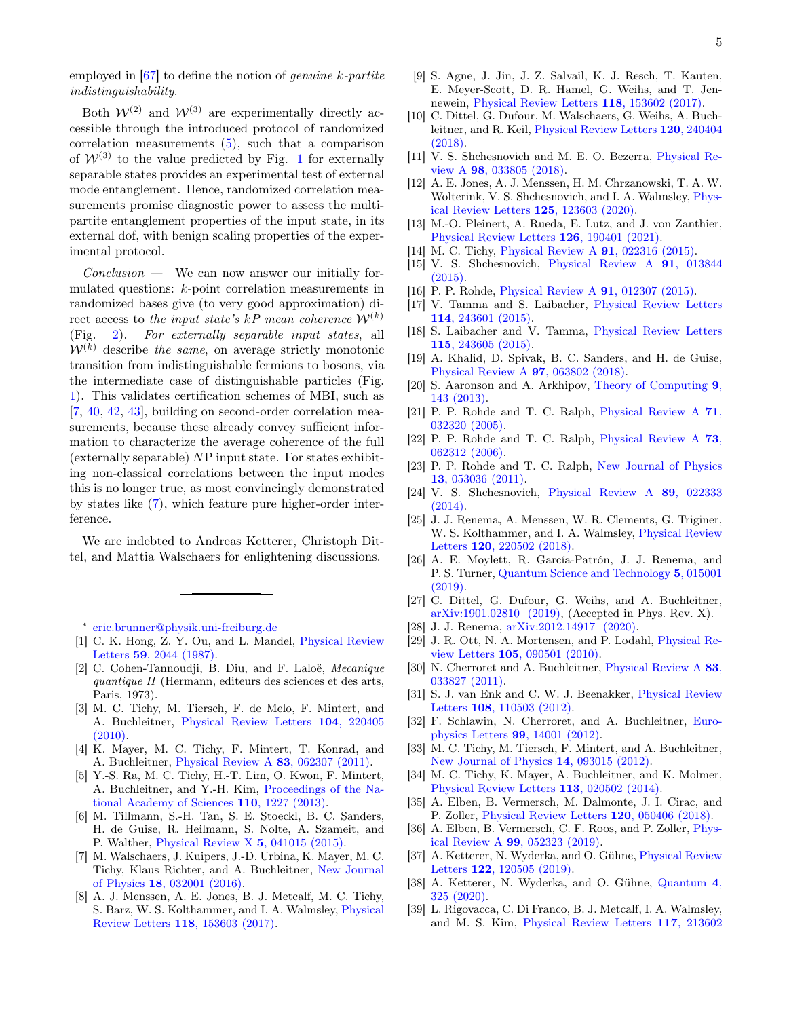employed in  $[67]$  to define the notion of *genuine* k-partite indistinguishability.

Both  $\mathcal{W}^{(2)}$  and  $\mathcal{W}^{(3)}$  are experimentally directly accessible through the introduced protocol of randomized correlation measurements  $(5)$ , such that a comparison of  $W^{(3)}$  to the value predicted by Fig. [1](#page-2-0) for externally separable states provides an experimental test of external mode entanglement. Hence, randomized correlation measurements promise diagnostic power to assess the multipartite entanglement properties of the input state, in its external dof, with benign scaling properties of the experimental protocol.

 $Conclusion$  — We can now answer our initially formulated questions: k-point correlation measurements in randomized bases give (to very good approximation) direct access to the input state's kP mean coherence  $W^{(k)}$ <br>(Fig. 2). For externally separable input states, all [2\)](#page-3-0). For externally separable input states, all  $W^{(k)}$  describe the same, on average strictly monotonic transition from indistinguishable fermions to bosons, via the intermediate case of distinguishable particles (Fig. [1\)](#page-2-0). This validates certification schemes of MBI, such as [\[7,](#page-4-5) [40,](#page-5-0) [42,](#page-5-2) [43\]](#page-5-1), building on second-order correlation measurements, because these already convey sufficient information to characterize the average coherence of the full (externally separable) NP input state. For states exhibiting non-classical correlations between the input modes this is no longer true, as most convincingly demonstrated by states like [\(7\)](#page-3-1), which feature pure higher-order interference.

We are indebted to Andreas Ketterer, Christoph Dittel, and Mattia Walschaers for enlightening discussions.

<span id="page-4-0"></span>∗ [eric.brunner@physik.uni-freiburg.de](mailto:eric.brunner@physik.uni-freiburg.de)

- <span id="page-4-1"></span>[1] C. K. Hong, Z. Y. Ou, and L. Mandel, [Physical Review](https://doi.org/10.1103/PhysRevLett.59.2044) Letters 59[, 2044 \(1987\).](https://doi.org/10.1103/PhysRevLett.59.2044)
- [2] C. Cohen-Tannoudji, B. Diu, and F. Laloë, Mecanique quantique II (Hermann, editeurs des sciences et des arts, Paris, 1973).
- <span id="page-4-8"></span>[3] M. C. Tichy, M. Tiersch, F. de Melo, F. Mintert, and A. Buchleitner, [Physical Review Letters](https://doi.org/10.1103/PhysRevLett.104.220405) 104, 220405 [\(2010\).](https://doi.org/10.1103/PhysRevLett.104.220405)
- [4] K. Mayer, M. C. Tichy, F. Mintert, T. Konrad, and A. Buchleitner, [Physical Review A](https://doi.org/10.1103/PhysRevA.83.062307) 83, 062307 (2011).
- [5] Y.-S. Ra, M. C. Tichy, H.-T. Lim, O. Kwon, F. Mintert, A. Buchleitner, and Y.-H. Kim, [Proceedings of the Na](https://doi.org/10.1073/pnas.1206910110)[tional Academy of Sciences](https://doi.org/10.1073/pnas.1206910110) 110, 1227 (2013).
- [6] M. Tillmann, S.-H. Tan, S. E. Stoeckl, B. C. Sanders, H. de Guise, R. Heilmann, S. Nolte, A. Szameit, and P. Walther, [Physical Review X](https://doi.org/10.1103/PhysRevX.5.041015) 5, 041015 (2015).
- <span id="page-4-5"></span>[7] M. Walschaers, J. Kuipers, J.-D. Urbina, K. Mayer, M. C. Tichy, Klaus Richter, and A. Buchleitner, [New Journal](https://doi.org/10.1088/1367-2630/18/3/032001) of Physics 18[, 032001 \(2016\).](https://doi.org/10.1088/1367-2630/18/3/032001)
- [8] A. J. Menssen, A. E. Jones, B. J. Metcalf, M. C. Tichy, S. Barz, W. S. Kolthammer, and I. A. Walmsley, [Physical](https://doi.org/10.1103/PhysRevLett.118.153603) Review Letters 118[, 153603 \(2017\).](https://doi.org/10.1103/PhysRevLett.118.153603)
- [9] S. Agne, J. Jin, J. Z. Salvail, K. J. Resch, T. Kauten, E. Meyer-Scott, D. R. Hamel, G. Weihs, and T. Jennewein, [Physical Review Letters](https://doi.org/10.1103/PhysRevLett.118.153602) 118, 153602 (2017).
- <span id="page-4-9"></span>[10] C. Dittel, G. Dufour, M. Walschaers, G. Weihs, A. Buchleitner, and R. Keil, [Physical Review Letters](https://doi.org/10.1103/PhysRevLett.120.240404) 120, 240404 [\(2018\).](https://doi.org/10.1103/PhysRevLett.120.240404)
- [11] V. S. Shchesnovich and M. E. O. Bezerra, [Physical Re](https://doi.org/10.1103/PhysRevA.98.033805)view A 98[, 033805 \(2018\).](https://doi.org/10.1103/PhysRevA.98.033805)
- [12] A. E. Jones, A. J. Menssen, H. M. Chrzanowski, T. A. W. Wolterink, V. S. Shchesnovich, and I. A. Walmsley, [Phys](https://doi.org/10.1103/PhysRevLett.125.123603)[ical Review Letters](https://doi.org/10.1103/PhysRevLett.125.123603) 125, 123603 (2020).
- <span id="page-4-2"></span>[13] M.-O. Pleinert, A. Rueda, E. Lutz, and J. von Zanthier, [Physical Review Letters](https://doi.org/10.1103/PhysRevLett.126.190401) 126, 190401 (2021).
- <span id="page-4-3"></span>[14] M. C. Tichy, [Physical Review A](https://doi.org/10.1103/PhysRevA.91.022316) **91**, 022316 (2015).
- <span id="page-4-18"></span>[15] V. S. Shchesnovich, [Physical Review A](https://doi.org/10.1103/PhysRevA.91.013844) 91, 013844 [\(2015\).](https://doi.org/10.1103/PhysRevA.91.013844)
- [16] P. P. Rohde, [Physical Review A](https://doi.org/10.1103/PhysRevA.91.012307) 91, 012307 (2015).
- [17] V. Tamma and S. Laibacher, [Physical Review Letters](https://doi.org/10.1103/PhysRevLett.114.243601) 114[, 243601 \(2015\).](https://doi.org/10.1103/PhysRevLett.114.243601)
- [18] S. Laibacher and V. Tamma, [Physical Review Letters](https://doi.org/10.1103/PhysRevLett.115.243605) 115[, 243605 \(2015\).](https://doi.org/10.1103/PhysRevLett.115.243605)
- <span id="page-4-4"></span>[19] A. Khalid, D. Spivak, B. C. Sanders, and H. de Guise, [Physical Review A](https://doi.org/10.1103/PhysRevA.97.063802) 97, 063802 (2018).
- <span id="page-4-6"></span>[20] S. Aaronson and A. Arkhipov, [Theory of Computing](https://doi.org/10.4086/toc.2013.v009a004) 9, [143 \(2013\).](https://doi.org/10.4086/toc.2013.v009a004)
- [21] P. P. Rohde and T. C. Ralph, [Physical Review A](https://doi.org/10.1103/PhysRevA.71.032320) 71, [032320 \(2005\).](https://doi.org/10.1103/PhysRevA.71.032320)
- [22] P. P. Rohde and T. C. Ralph, [Physical Review A](https://doi.org/10.1103/PhysRevA.73.062312) 73, [062312 \(2006\).](https://doi.org/10.1103/PhysRevA.73.062312)
- [23] P. P. Rohde and T. C. Ralph, [New Journal of Physics](https://doi.org/10.1088/1367-2630/13/5/053036) 13[, 053036 \(2011\).](https://doi.org/10.1088/1367-2630/13/5/053036)
- <span id="page-4-19"></span>[24] V. S. Shchesnovich, [Physical Review A](https://doi.org/10.1103/PhysRevA.89.022333) 89, 022333  $(2014)$ .
- [25] J. J. Renema, A. Menssen, W. R. Clements, G. Triginer, W. S. Kolthammer, and I. A. Walmsley, [Physical Review](https://doi.org/10.1103/PhysRevLett.120.220502) Letters 120[, 220502 \(2018\).](https://doi.org/10.1103/PhysRevLett.120.220502)
- [26] A. E. Moylett, R. García-Patrón, J. J. Renema, and P. S. Turner, [Quantum Science and Technology](https://doi.org/10.1088/2058-9565/ab5555) 5, 015001 [\(2019\).](https://doi.org/10.1088/2058-9565/ab5555)
- <span id="page-4-17"></span>[27] C. Dittel, G. Dufour, G. Weihs, and A. Buchleitner, [arXiv:1901.02810 \(2019\),](http://arxiv.org/abs/1901.02810) (Accepted in Phys. Rev. X).
- <span id="page-4-7"></span>[28] J. J. Renema, [arXiv:2012.14917 \(2020\).](http://arxiv.org/abs/2012.14917)
- <span id="page-4-10"></span>[29] J. R. Ott, N. A. Mortensen, and P. Lodahl, [Physical Re](https://doi.org/10.1103/PhysRevLett.105.090501)view Letters 105[, 090501 \(2010\).](https://doi.org/10.1103/PhysRevLett.105.090501)
- [30] N. Cherroret and A. Buchleitner, [Physical Review A](https://doi.org/10.1103/PhysRevA.83.033827) 83. [033827 \(2011\).](https://doi.org/10.1103/PhysRevA.83.033827)
- [31] S. J. van Enk and C. W. J. Beenakker, [Physical Review](https://doi.org/10.1103/PhysRevLett.108.110503) Letters 108[, 110503 \(2012\).](https://doi.org/10.1103/PhysRevLett.108.110503)
- [32] F. Schlawin, N. Cherroret, and A. Buchleitner, [Euro](https://doi.org/10.1209/0295-5075/99/14001)[physics Letters](https://doi.org/10.1209/0295-5075/99/14001) 99, 14001 (2012).
- [33] M. C. Tichy, M. Tiersch, F. Mintert, and A. Buchleitner, [New Journal of Physics](https://doi.org/10.1088/1367-2630/14/9/093015) 14, 093015 (2012).
- <span id="page-4-11"></span>[34] M. C. Tichy, K. Mayer, A. Buchleitner, and K. Molmer, [Physical Review Letters](https://doi.org/10.1103/PhysRevLett.113.020502) 113, 020502 (2014).
- <span id="page-4-12"></span>[35] A. Elben, B. Vermersch, M. Dalmonte, J. I. Cirac, and P. Zoller, [Physical Review Letters](https://doi.org/10.1103/PhysRevLett.120.050406) 120, 050406 (2018).
- <span id="page-4-13"></span>[36] A. Elben, B. Vermersch, C. F. Roos, and P. Zoller, [Phys](https://doi.org/10.1103/PhysRevA.99.052323)ical Review A 99[, 052323 \(2019\).](https://doi.org/10.1103/PhysRevA.99.052323)
- <span id="page-4-14"></span>[37] A. Ketterer, N. Wyderka, and O. Gühne, [Physical Review](https://doi.org/10.1103/PhysRevLett.122.120505) Letters 122[, 120505 \(2019\).](https://doi.org/10.1103/PhysRevLett.122.120505)
- <span id="page-4-15"></span>[38] A. Ketterer, N. Wyderka, and O. Gühne, [Quantum](https://doi.org/10.22331/q-2020-09-16-325) 4, [325 \(2020\).](https://doi.org/10.22331/q-2020-09-16-325)
- <span id="page-4-16"></span>[39] L. Rigovacca, C. Di Franco, B. J. Metcalf, I. A. Walmsley, and M. S. Kim, [Physical Review Letters](https://doi.org/10.1103/PhysRevLett.117.213602) 117, 213602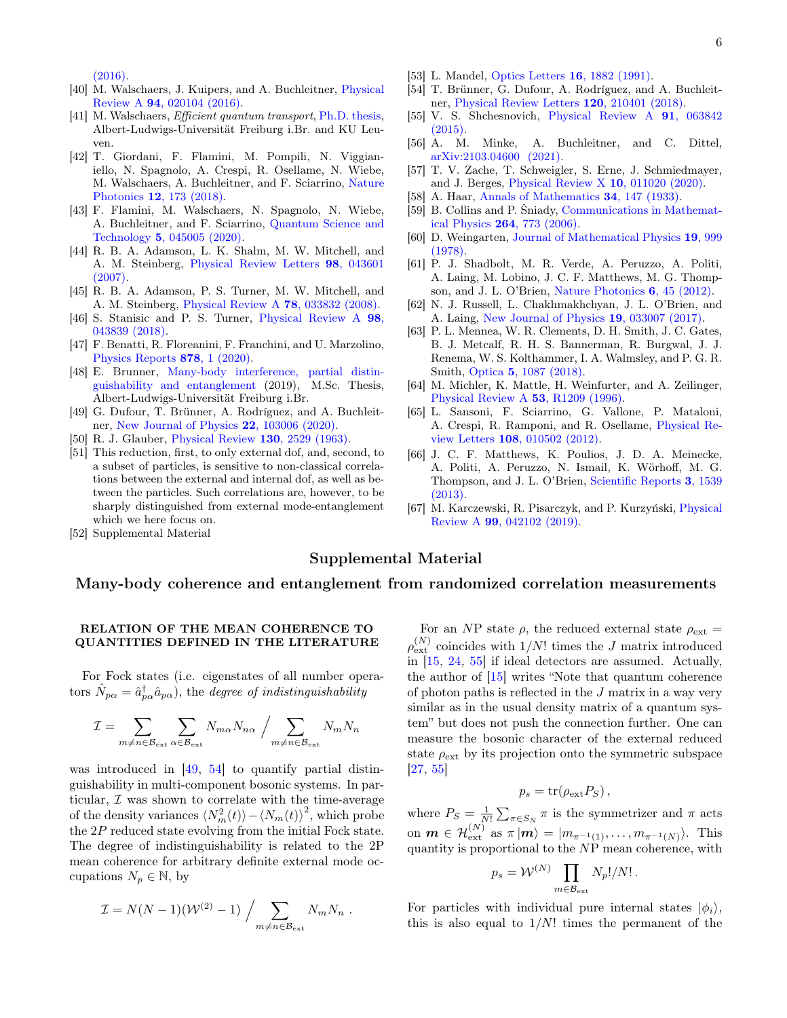[\(2016\).](https://doi.org/10.1103/PhysRevLett.117.213602)

- <span id="page-5-0"></span>[40] M. Walschaers, J. Kuipers, and A. Buchleitner, [Physical](https://doi.org/10.1103/PhysRevA.94.020104) Review A 94[, 020104 \(2016\).](https://doi.org/10.1103/PhysRevA.94.020104)
- [41] M. Walschaers, *Efficient quantum transport*, [Ph.D. thesis,](https://doi.org/10.6094/UNIFR/11065) Albert-Ludwigs-Universität Freiburg i.Br. and KU Leuven.
- <span id="page-5-2"></span>[42] T. Giordani, F. Flamini, M. Pompili, N. Viggianiello, N. Spagnolo, A. Crespi, R. Osellame, N. Wiebe, M. Walschaers, A. Buchleitner, and F. Sciarrino, [Nature](https://doi.org/10.1038/s41566-018-0097-4) Photonics 12[, 173 \(2018\).](https://doi.org/10.1038/s41566-018-0097-4)
- <span id="page-5-1"></span>[43] F. Flamini, M. Walschaers, N. Spagnolo, N. Wiebe, A. Buchleitner, and F. Sciarrino, [Quantum Science and](https://doi.org/10.1088/2058-9565/aba03a) Technology 5[, 045005 \(2020\).](https://doi.org/10.1088/2058-9565/aba03a)
- <span id="page-5-3"></span>[44] R. B. A. Adamson, L. K. Shalm, M. W. Mitchell, and A. M. Steinberg, [Physical Review Letters](https://doi.org/10.1103/PhysRevLett.98.043601) 98, 043601 [\(2007\).](https://doi.org/10.1103/PhysRevLett.98.043601)
- [45] R. B. A. Adamson, P. S. Turner, M. W. Mitchell, and A. M. Steinberg, [Physical Review A](https://doi.org/10.1103/PhysRevA.78.033832) 78, 033832 (2008).
- <span id="page-5-4"></span>[46] S. Stanisic and P. S. Turner, [Physical Review A](https://doi.org/10.1103/PhysRevA.98.043839) 98, [043839 \(2018\).](https://doi.org/10.1103/PhysRevA.98.043839)
- <span id="page-5-5"></span>[47] F. Benatti, R. Floreanini, F. Franchini, and U. Marzolino, [Physics Reports](https://doi.org/10.1016/j.physrep.2020.07.003) 878, 1 (2020).
- <span id="page-5-6"></span>[48] E. Brunner, [Many-body interference, partial distin](https://freidok.uni-freiburg.de/data/166467)[guishability and entanglement](https://freidok.uni-freiburg.de/data/166467) (2019), M.Sc. Thesis, Albert-Ludwigs-Universität Freiburg i.Br.
- <span id="page-5-7"></span>[49] G. Dufour, T. Brünner, A. Rodríguez, and A. Buchleitner, [New Journal of Physics](https://doi.org/10.1088/1367-2630/abb7a3) 22, 103006 (2020).
- <span id="page-5-8"></span>[50] R. J. Glauber, [Physical Review](https://doi.org/10.1103/PhysRev.130.2529) 130, 2529 (1963).
- <span id="page-5-9"></span>[51] This reduction, first, to only external dof, and, second, to a subset of particles, is sensitive to non-classical correlations between the external and internal dof, as well as between the particles. Such correlations are, however, to be sharply distinguished from external mode-entanglement which we here focus on.
- <span id="page-5-10"></span>[52] Supplemental Material
- <span id="page-5-11"></span>[53] L. Mandel, [Optics Letters](https://doi.org/10.1364/OL.16.001882) 16, 1882 (1991).
- <span id="page-5-12"></span>[54] T. Brünner, G. Dufour, A. Rodríguez, and A. Buchleitner, [Physical Review Letters](https://doi.org/10.1103/PhysRevLett.120.210401) 120, 210401 (2018).
- <span id="page-5-13"></span>[55] V. S. Shchesnovich, [Physical Review A](https://doi.org/10.1103/PhysRevA.91.063842) 91, 063842 [\(2015\).](https://doi.org/10.1103/PhysRevA.91.063842)
- <span id="page-5-14"></span>[56] A. M. Minke, A. Buchleitner, and C. Dittel, [arXiv:2103.04600 \(2021\).](http://arxiv.org/abs/2103.04600)
- <span id="page-5-15"></span>[57] T. V. Zache, T. Schweigler, S. Erne, J. Schmiedmayer, and J. Berges, [Physical Review X](https://doi.org/10.1103/PhysRevX.10.011020) 10, 011020 (2020).
- <span id="page-5-16"></span>[58] A. Haar, [Annals of Mathematics](https://doi.org/10.2307/1968346) 34, 147 (1933).
- <span id="page-5-17"></span>[59] B. Collins and P. Śniady, [Communications in Mathemat](https://doi.org/10.1007/s00220-006-1554-3)ical Physics 264[, 773 \(2006\).](https://doi.org/10.1007/s00220-006-1554-3)
- <span id="page-5-18"></span>[60] D. Weingarten, [Journal of Mathematical Physics](https://doi.org/10.1063/1.523807) 19, 999 [\(1978\).](https://doi.org/10.1063/1.523807)
- <span id="page-5-19"></span>[61] P. J. Shadbolt, M. R. Verde, A. Peruzzo, A. Politi, A. Laing, M. Lobino, J. C. F. Matthews, M. G. Thompson, and J. L. O'Brien, [Nature Photonics](https://doi.org/10.1038/nphoton.2011.283) 6, 45 (2012).
- [62] N. J. Russell, L. Chakhmakhchyan, J. L. O'Brien, and A. Laing, [New Journal of Physics](https://doi.org/10.1088/1367-2630/aa60ed) 19, 033007 (2017).
- <span id="page-5-20"></span>[63] P. L. Mennea, W. R. Clements, D. H. Smith, J. C. Gates, B. J. Metcalf, R. H. S. Bannerman, R. Burgwal, J. J. Renema, W. S. Kolthammer, I. A. Walmsley, and P. G. R. Smith, Optica 5[, 1087 \(2018\).](https://doi.org/10.1364/OPTICA.5.001087)
- <span id="page-5-21"></span>[64] M. Michler, K. Mattle, H. Weinfurter, and A. Zeilinger, [Physical Review A](https://doi.org/10.1103/PhysRevA.53.R1209) 53, R1209 (1996).
- [65] L. Sansoni, F. Sciarrino, G. Vallone, P. Mataloni, A. Crespi, R. Ramponi, and R. Osellame, [Physical Re](https://doi.org/10.1103/PhysRevLett.108.010502)view Letters 108[, 010502 \(2012\).](https://doi.org/10.1103/PhysRevLett.108.010502)
- <span id="page-5-22"></span>[66] J. C. F. Matthews, K. Poulios, J. D. A. Meinecke, A. Politi, A. Peruzzo, N. Ismail, K. Wörhoff, M. G. Thompson, and J. L. O'Brien, [Scientific Reports](https://doi.org/10.1038/srep01539) 3, 1539 [\(2013\).](https://doi.org/10.1038/srep01539)
- <span id="page-5-23"></span>[67] M. Karczewski, R. Pisarczyk, and P. Kurzyński, [Physical](https://doi.org/10.1103/PhysRevA.99.042102) Review A 99[, 042102 \(2019\).](https://doi.org/10.1103/PhysRevA.99.042102)

# Supplemental Material

## Many-body coherence and entanglement from randomized correlation measurements

## RELATION OF THE MEAN COHERENCE TO QUANTITIES DEFINED IN THE LITERATURE

For Fock states (i.e. eigenstates of all number operators  $\hat{N}_{p\alpha} = \hat{a}^{\dagger}_{p\alpha} \hat{a}_{p\alpha}$ , the *degree of indistinguishability* 

$$
\mathcal{I} = \sum_{m \neq n \in \mathcal{B}_{ext}} \sum_{\alpha \in \mathcal{B}_{ext}} N_{m\alpha} N_{n\alpha} / \sum_{m \neq n \in \mathcal{B}_{ext}} N_m N_n
$$

was introduced in [\[49,](#page-5-7) [54\]](#page-5-12) to quantify partial distinguishability in multi-component bosonic systems. In particular,  $\mathcal I$  was shown to correlate with the time-average of the density variances  $\langle N_m^2(t) \rangle - \langle N_m(t) \rangle^2$ , which probe the 2P reduced state evolving from the initial Fock state. The degree of indistinguishability is related to the 2P mean coherence for arbitrary definite external mode occupations  $N_p \in \mathbb{N}$ , by

$$
\mathcal{I} = N(N-1)(\mathcal{W}^{(2)}-1)\bigg/\sum_{m\neq n\in\mathcal{B}_{\rm ext}}N_mN_n.
$$

For an NP state  $\rho$ , the reduced external state  $\rho_{\text{ext}} =$  $\rho_{\text{ext}}^{(N)}$  coincides with  $1/N!$  times the J matrix introduced in  $[15, 24, 55]$  $[15, 24, 55]$  $[15, 24, 55]$  $[15, 24, 55]$  $[15, 24, 55]$  if ideal detectors are assumed. Actually, the author of [\[15\]](#page-4-18) writes "Note that quantum coherence of photon paths is reflected in the J matrix in a way very similar as in the usual density matrix of a quantum system" but does not push the connection further. One can measure the bosonic character of the external reduced state  $\rho_{\text{ext}}$  by its projection onto the symmetric subspace [\[27,](#page-4-17) [55\]](#page-5-13)

$$
p_s = \text{tr}(\rho_{\text{ext}} P_S),
$$

where  $P_S = \frac{1}{N!} \sum_{\pi \in S_N} \pi$  is the symmetrizer and  $\pi$  acts on  $\mathbf{m} \in \mathcal{H}_{\mathrm{ext}}^{(N)}$  as  $\pi | \mathbf{m} \rangle = |m_{\pi^{-1}(1)}, \dots, m_{\pi^{-1}(N)} \rangle$ . This quantity is proportional to the NP mean coherence, with

$$
p_s = \mathcal{W}^{(N)} \prod_{m \in \mathcal{B}_{\text{ext}}} N_p! / N! \, .
$$

For particles with individual pure internal states  $|\phi_i\rangle$ , this is also equal to  $1/N!$  times the permanent of the